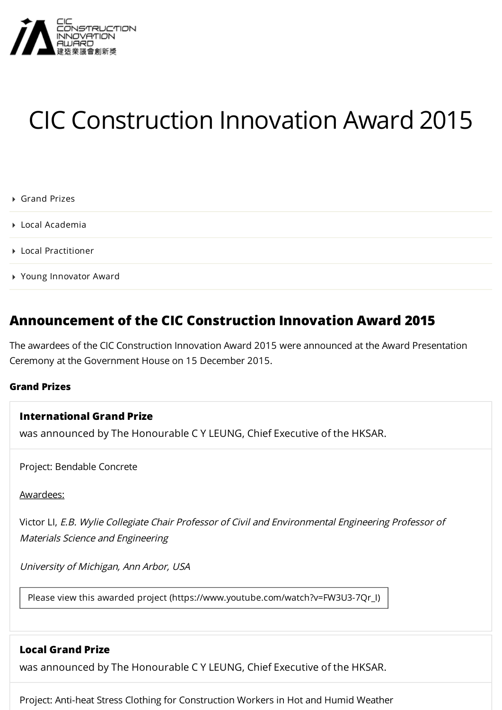

# CIC Construction Innovation Award 2015

- ▶ [Grand Prizes](#page-0-0)
- [Local Academia](#page-1-0)
- [Local Practitioner](#page-2-0)
- [Young Innovator Award](#page-2-1)

# **Announcement of the CIC Construction Innovation Award 2015**

The awardees of the CIC Construction Innovation Award 2015 were announced at the Award Presentation Ceremony at the Government House on 15 December 2015.

#### <span id="page-0-0"></span>**Grand Prizes**

#### **International Grand Prize**

[was announced by The Honourable C Y LEUNG, Chief Executive of the HKSAR.](#page-0-1)

<span id="page-0-1"></span>Project: Bendable Concrete

#### Awardees:

Victor LI, E.B. Wylie Collegiate Chair Professor of Civil and Environmental Engineering Professor of Materials Science and Engineering

University of Michigan, Ann Arbor, USA

[Please view this awarded project \(https://www.youtube.com/watch?v=FW3U3-7Qr\\_I\)](https://www.youtube.com/watch?v=FW3U3-7Qr_I)

### **Local Grand Prize**

[was announced by The Honourable C Y LEUNG, Chief Executive of the HKSAR.](#page-0-2)

<span id="page-0-2"></span>Project: Anti-heat Stress Clothing for Construction Workers in Hot and Humid Weather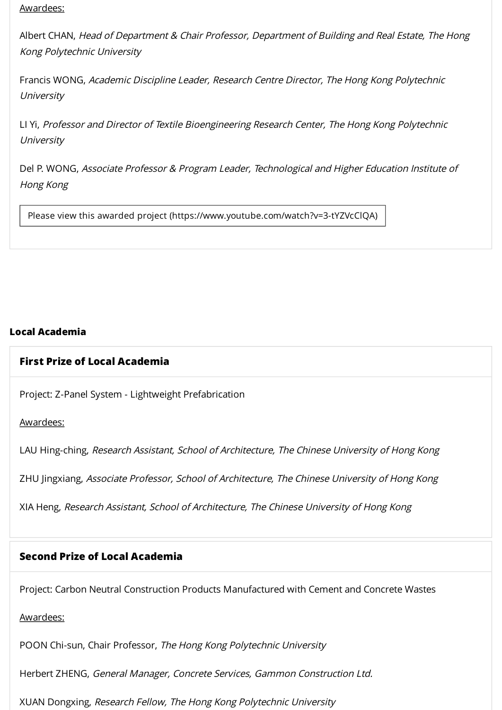#### Awardees:

Albert CHAN, Head of Department & Chair Professor, Department of Building and Real Estate, The Hong Kong Polytechnic University

Francis WONG, Academic Discipline Leader, Research Centre Director, The Hong Kong Polytechnic **University** 

LI Yi, Professor and Director of Textile Bioengineering Research Center, The Hong Kong Polytechnic **University** 

Del P. WONG, Associate Professor & Program Leader, Technological and Higher Education Institute of Hong Kong

Please view this awarded project [\(https://www.youtube.com/watch?v=3-tYZVcClQA\)](https://www.youtube.com/watch?v=3-tYZVcClQA)

# <span id="page-1-0"></span>**Local Academia**

#### **First Prize of Local [Academia](#page-1-1)**

<span id="page-1-1"></span>Project: Z-Panel System - Lightweight Prefabrication

Awardees:

LAU Hing-ching, Research Assistant, School of Architecture, The Chinese University of Hong Kong

ZHU Jingxiang, Associate Professor, School of Architecture, The Chinese University of Hong Kong

XIA Heng, Research Assistant, School of Architecture, The Chinese University of Hong Kong

# **Second Prize of Local [Academia](#page-1-2)**

<span id="page-1-2"></span>Project: Carbon Neutral Construction Products Manufactured with Cement and Concrete Wastes

#### Awardees:

POON Chi-sun, Chair Professor, The Hong Kong Polytechnic University

Herbert ZHENG, General Manager, Concrete Services, Gammon Construction Ltd.

XUAN Dongxing, Research Fellow, The Hong Kong Polytechnic University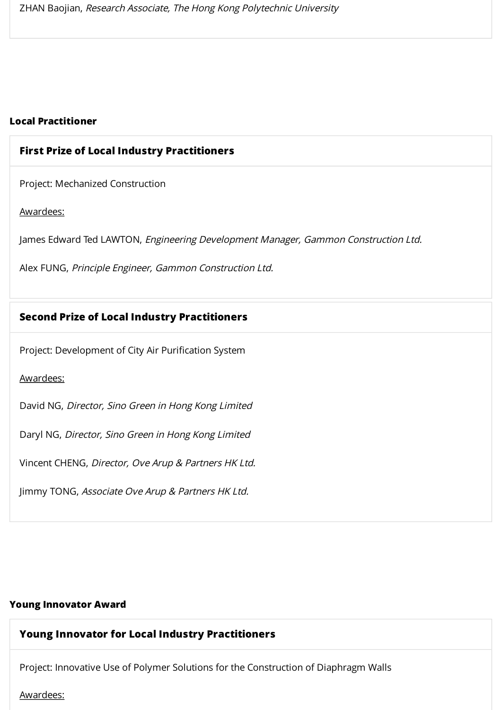#### <span id="page-2-0"></span>**Local Practitioner**

#### **First Prize of Local Industry Practitioners**

<span id="page-2-2"></span>Project: Mechanized Construction

Awardees:

James Edward Ted LAWTON, Engineering Development Manager, Gammon Construction Ltd. ZHAN Baojian, *Research Associate, The Hong Kong Polytechnic University*<br> **Project: Mechanized Construction<br>
Project: Mechanized Construction<br>
Awardees:<br>
James Edward Ted LAWTON,** *Engineering Development Manager, Gammon Co* 

Alex FUNG, Principle Engineer, Gammon Construction Ltd.

#### **Second Prize of Local Industry Practitioners**

<span id="page-2-3"></span>

#### Awardees:

David NG, Director, Sino Green in Hong Kong Limited

Daryl NG, Director, Sino Green in Hong Kong Limited

Vincent CHENG, Director, Ove Arup & Partners HK Ltd.

Jimmy TONG, Associate Ove Arup & Partners HK Ltd.

#### <span id="page-2-1"></span>**Young Innovator Award**

# **Young Innovator for Local Industry [Practitioners](#page-2-4)**

<span id="page-2-4"></span>Project: Innovative Use of Polymer Solutions for the Construction of Diaphragm Walls

Awardees: